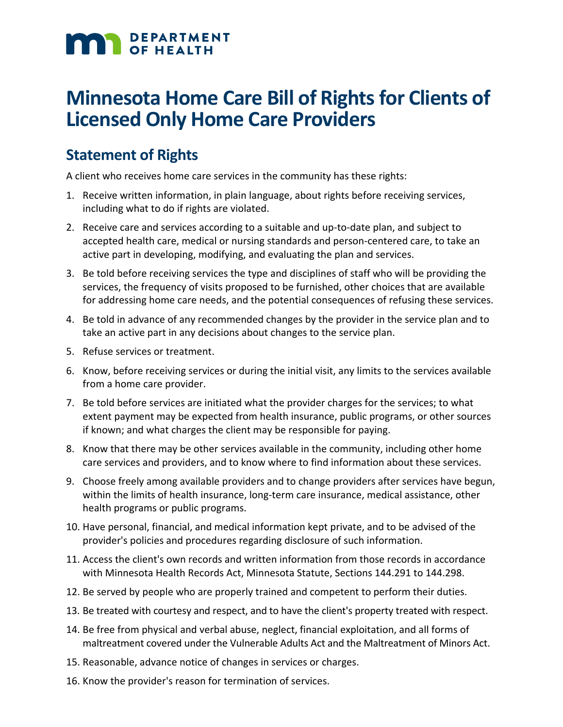# **MAN** DEPARTMENT

## **Minnesota Home Care Bill of Rights for Clients of Licensed Only Home Care Providers**

## **Statement of Rights**

A client who receives home care services in the community has these rights:

- 1. Receive written information, in plain language, about rights before receiving services, including what to do if rights are violated.
- 2. Receive care and services according to a suitable and up-to-date plan, and subject to accepted health care, medical or nursing standards and person-centered care, to take an active part in developing, modifying, and evaluating the plan and services.
- 3. Be told before receiving services the type and disciplines of staff who will be providing the services, the frequency of visits proposed to be furnished, other choices that are available for addressing home care needs, and the potential consequences of refusing these services.
- 4. Be told in advance of any recommended changes by the provider in the service plan and to take an active part in any decisions about changes to the service plan.
- 5. Refuse services or treatment.
- 6. Know, before receiving services or during the initial visit, any limits to the services available from a home care provider.
- 7. Be told before services are initiated what the provider charges for the services; to what extent payment may be expected from health insurance, public programs, or other sources if known; and what charges the client may be responsible for paying.
- 8. Know that there may be other services available in the community, including other home care services and providers, and to know where to find information about these services.
- 9. Choose freely among available providers and to change providers after services have begun, within the limits of health insurance, long-term care insurance, medical assistance, other health programs or public programs.
- 10. Have personal, financial, and medical information kept private, and to be advised of the provider's policies and procedures regarding disclosure of such information.
- 11. Access the client's own records and written information from those records in accordance with Minnesota Health Records Act, Minnesota Statute, Sections 144.291 to 144.298.
- 12. Be served by people who are properly trained and competent to perform their duties.
- 13. Be treated with courtesy and respect, and to have the client's property treated with respect.
- 14. Be free from physical and verbal abuse, neglect, financial exploitation, and all forms of maltreatment covered under the Vulnerable Adults Act and the Maltreatment of Minors Act.
- 15. Reasonable, advance notice of changes in services or charges.
- 16. Know the provider's reason for termination of services.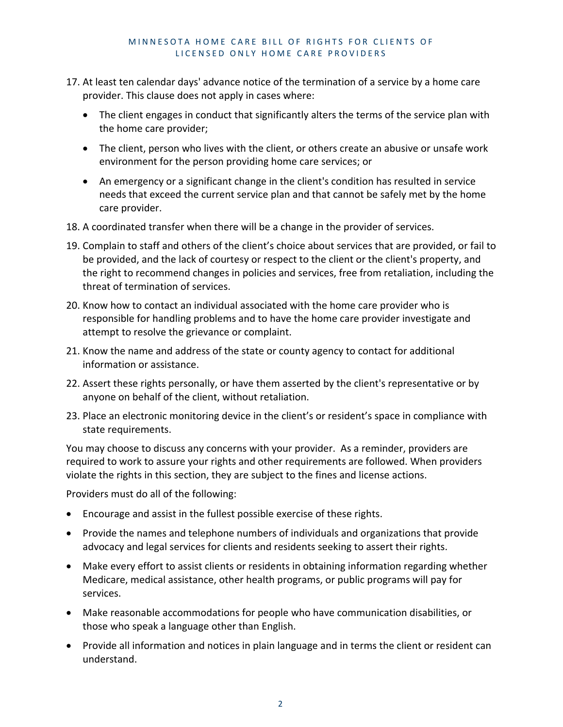### MINNESOTA HOME CARE BILL OF RIGHTS FOR CLIENTS OF LICENSED ONLY HOME CARE PROVIDERS

- 17. At least ten calendar days' advance notice of the termination of a service by a home care provider. This clause does not apply in cases where:
	- The client engages in conduct that significantly alters the terms of the service plan with the home care provider;
	- The client, person who lives with the client, or others create an abusive or unsafe work environment for the person providing home care services; or
	- An emergency or a significant change in the client's condition has resulted in service needs that exceed the current service plan and that cannot be safely met by the home care provider.
- 18. A coordinated transfer when there will be a change in the provider of services.
- 19. Complain to staff and others of the client's choice about services that are provided, or fail to be provided, and the lack of courtesy or respect to the client or the client's property, and the right to recommend changes in policies and services, free from retaliation, including the threat of termination of services.
- 20. Know how to contact an individual associated with the home care provider who is responsible for handling problems and to have the home care provider investigate and attempt to resolve the grievance or complaint.
- 21. Know the name and address of the state or county agency to contact for additional information or assistance.
- 22. Assert these rights personally, or have them asserted by the client's representative or by anyone on behalf of the client, without retaliation.
- 23. Place an electronic monitoring device in the client's or resident's space in compliance with state requirements.

You may choose to discuss any concerns with your provider. As a reminder, providers are required to work to assure your rights and other requirements are followed. When providers violate the rights in this section, they are subject to the fines and license actions.

Providers must do all of the following:

- Encourage and assist in the fullest possible exercise of these rights.
- Provide the names and telephone numbers of individuals and organizations that provide advocacy and legal services for clients and residents seeking to assert their rights.
- Make every effort to assist clients or residents in obtaining information regarding whether Medicare, medical assistance, other health programs, or public programs will pay for services.
- Make reasonable accommodations for people who have communication disabilities, or those who speak a language other than English.
- Provide all information and notices in plain language and in terms the client or resident can understand.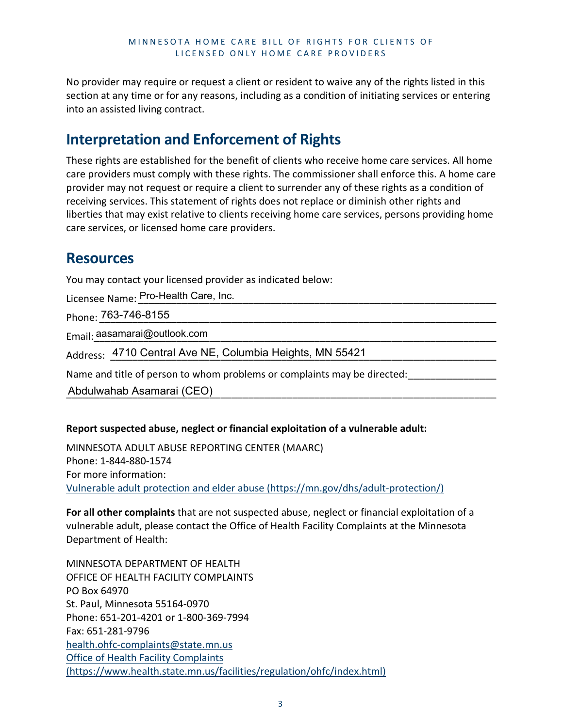No provider may require or request a client or resident to waive any of the rights listed in this section at any time or for any reasons, including as a condition of initiating services or entering into an assisted living contract.

## **Interpretation and Enforcement of Rights**

These rights are established for the benefit of clients who receive home care services. All home care providers must comply with these rights. The commissioner shall enforce this. A home care provider may not request or require a client to surrender any of these rights as a condition of receiving services. This statement of rights does not replace or diminish other rights and liberties that may exist relative to clients receiving home care services, persons providing home care services, or licensed home care providers.

## **Resources**

You may contact your licensed provider as indicated below:

Licensee Name:\_\_\_\_\_\_\_\_\_\_\_\_\_\_\_\_\_\_\_\_\_\_\_\_\_\_\_\_\_\_\_\_\_\_\_\_\_\_\_\_\_\_\_\_\_\_\_\_\_\_\_\_\_\_\_\_\_\_\_\_\_\_\_\_\_ Pro-Health Care, Inc.

Phone: \_\_\_\_\_\_\_\_\_\_\_\_\_\_\_\_\_\_\_\_\_\_\_\_\_\_\_\_\_\_\_\_\_\_\_\_\_\_\_\_\_\_\_\_\_\_\_\_\_\_\_\_\_\_\_\_\_\_\_\_\_\_\_\_\_\_\_\_\_\_\_\_ 763-746-8155

Email:\_\_\_\_\_\_\_\_\_\_\_\_\_\_\_\_\_\_\_\_\_\_\_\_\_\_\_\_\_\_\_\_\_\_\_\_\_\_\_\_\_\_\_\_\_\_\_\_\_\_\_\_\_\_\_\_\_\_\_\_\_\_\_\_\_\_\_\_\_\_\_\_\_ aasamarai@outlook.com

Address: \_4710 Central Ave NE, Columbia Heights, MN 55421 \_\_\_\_\_\_\_\_\_\_\_\_\_\_\_\_\_\_\_\_\_\_

Name and title of person to whom problems or complaints may be directed:

\_\_\_\_\_\_\_\_\_\_\_\_\_\_\_\_\_\_\_\_\_\_\_\_\_\_\_\_\_\_\_\_\_\_\_\_\_\_\_\_\_\_\_\_\_\_\_\_\_\_\_\_\_\_\_\_\_\_\_\_\_\_\_\_\_\_\_\_\_\_\_\_\_\_\_\_\_\_ Abdulwahab Asamarai (CEO)

## **Report suspected abuse, neglect or financial exploitation of a vulnerable adult:**

MINNESOTA ADULT ABUSE REPORTING CENTER (MAARC) Phone: 1-844-880-1574 For more information: [Vulnerable adult protection and elder abuse \(https://mn.gov/dhs/adult-protection/\)](https://mn.gov/dhs/adult-protection/)

**For all other complaints** that are not suspected abuse, neglect or financial exploitation of a vulnerable adult, please contact the Office of Health Facility Complaints at the Minnesota Department of Health:

MINNESOTA DEPARTMENT OF HEALTH OFFICE OF HEALTH FACILITY COMPLAINTS PO Box 64970 St. Paul, Minnesota 55164-0970 Phone: 651-201-4201 or 1-800-369-7994 Fax: 651-281-9796 [health.ohfc-complaints@state.mn.us](mailto:health.ohfc-complaints@state.mn.us) Office of Health Facility Complaints (https://www.health.state.mn.us/facilities/regulation/ohfc/index.html)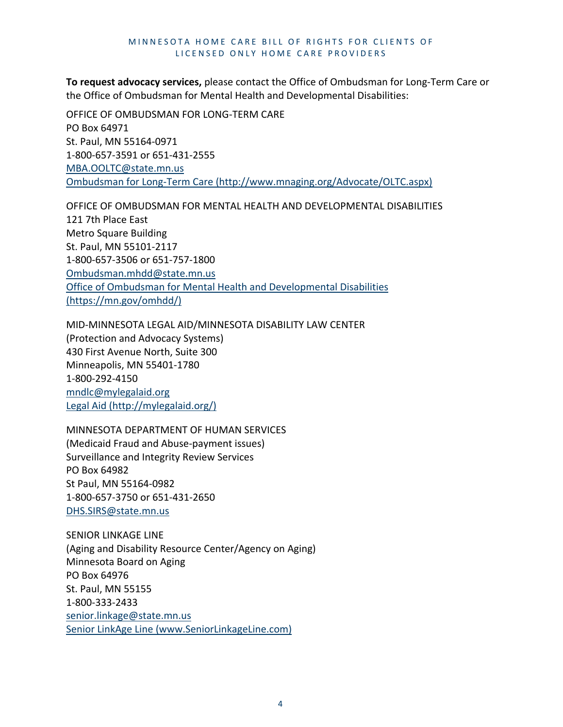#### MINNESOTA HOME CARE BILL OF RIGHTS FOR CLIENTS OF LICENSED ONLY HOME CARE PROVIDERS

**To request advocacy services,** please contact the Office of Ombudsman for Long-Term Care or the Office of Ombudsman for Mental Health and Developmental Disabilities:

OFFICE OF OMBUDSMAN FOR LONG-TERM CARE PO Box 64971 St. Paul, MN 55164-0971 1-800-657-3591 or 651-431-2555 [MBA.OOLTC@state.mn.us](mailto:MBA.OOLTC@state.mn.us)  [Ombudsman for Long-Term Care \(http://www.mnaging.org/Advocate/OLTC.aspx\)](http://www.mnaging.org/Advocate/OLTC.aspx)

OFFICE OF OMBUDSMAN FOR MENTAL HEALTH AND DEVELOPMENTAL DISABILITIES 121 7th Place East Metro Square Building St. Paul, MN 55101-2117 1-800-657-3506 or 651-757-1800 [Ombudsman.mhdd@state.mn.us](mailto:Ombudsman.mhdd@state.mn.us) [Office of Ombudsman for Mental Health and Developmental Disabilities](https://mn.gov/omhdd/)  [\(https://mn.gov/omhdd/\)](https://mn.gov/omhdd/) 

MID-MINNESOTA LEGAL AID/MINNESOTA DISABILITY LAW CENTER (Protection and Advocacy Systems) 430 First Avenue North, Suite 300

Minneapolis, MN 55401-1780 1-800-292-4150 [mndlc@mylegalaid.org](mailto:mndlc@mylegalaid.org) [Legal Aid \(http://mylegalaid.org/\)](http://mylegalaid.org/)

MINNESOTA DEPARTMENT OF HUMAN SERVICES (Medicaid Fraud and Abuse-payment issues) Surveillance and Integrity Review Services PO Box 64982 St Paul, MN 55164-0982 1-800-657-3750 or 651-431-2650 [DHS.SIRS@state.mn.us](mailto:DHS.SIRS@state.mn.us)

SENIOR LINKAGE LINE (Aging and Disability Resource Center/Agency on Aging) Minnesota Board on Aging PO Box 64976 St. Paul, MN 55155 1-800-333-2433 [senior.linkage@state.mn.us](mailto:senior.linkage@state.mn.us) [Senior LinkAge Line \(www.SeniorLinkageLine.com\)](https://www.seniorlinkageline.com/)